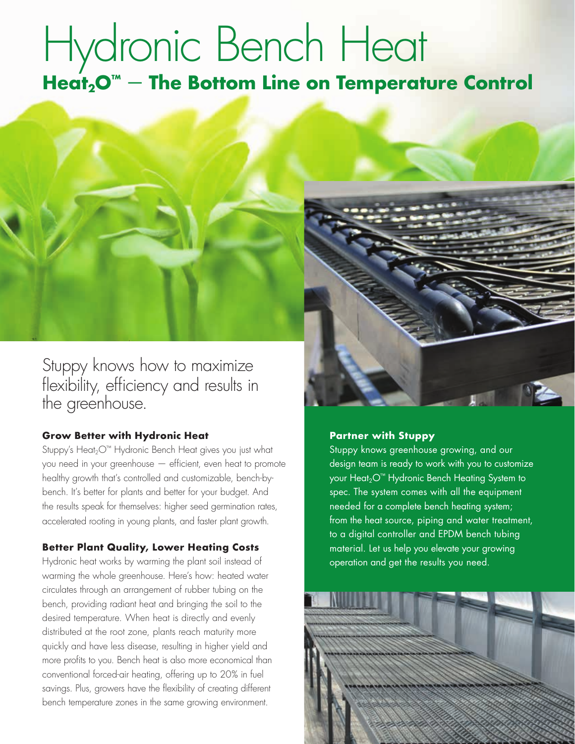# Hydronic Bench Heat Heat<sub>2</sub>O<sup>™</sup> – The Bottom Line on Temperature Control



#### **Grow Better with Hydronic Heat**

Stuppy's Heat<sub>2</sub>O™ Hydronic Bench Heat gives you just what you need in your greenhouse — efficient, even heat to promote healthy growth that's controlled and customizable, bench-bybench. It's better for plants and better for your budget. And the results speak for themselves: higher seed germination rates, accelerated rooting in young plants, and faster plant growth.

#### **Better Plant Quality, Lower Heating Costs**

Hydronic heat works by warming the plant soil instead of warming the whole greenhouse. Here's how: heated water circulates through an arrangement of rubber tubing on the bench, providing radiant heat and bringing the soil to the desired temperature. When heat is directly and evenly distributed at the root zone, plants reach maturity more quickly and have less disease, resulting in higher yield and more profits to you. Bench heat is also more economical than conventional forced-air heating, offering up to 20% in fuel savings. Plus, growers have the flexibility of creating different bench temperature zones in the same growing environment.



#### **Partner with Stuppy**

Stuppy knows greenhouse growing, and our design team is ready to work with you to customize your Heat<sub>2</sub>O<sup>™</sup> Hydronic Bench Heating System to spec. The system comes with all the equipment needed for a complete bench heating system; from the heat source, piping and water treatment, to a digital controller and EPDM bench tubing material. Let us help you elevate your growing operation and get the results you need.